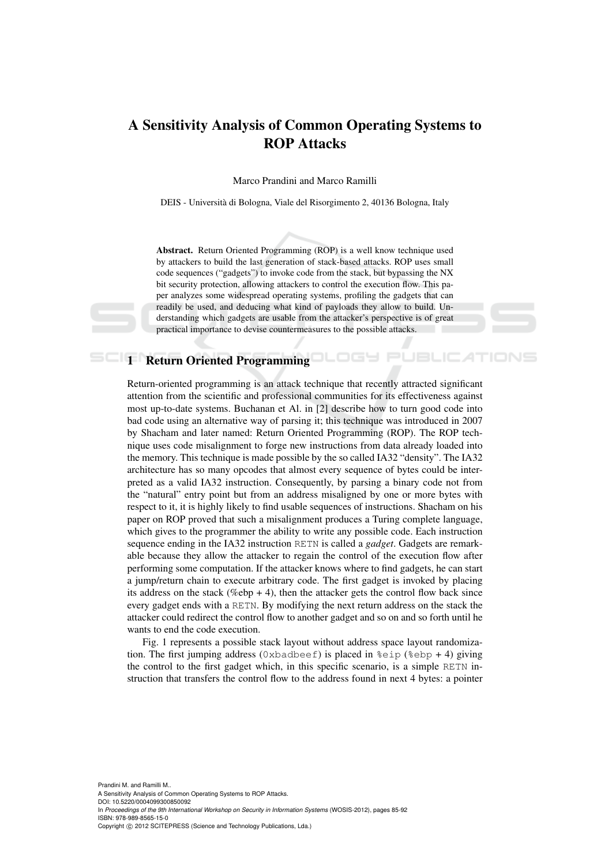# A Sensitivity Analysis of Common Operating Systems to ROP Attacks

Marco Prandini and Marco Ramilli

DEIS - Universita di Bologna, Viale del Risorgimento 2, 40136 Bologna, Italy `

Abstract. Return Oriented Programming (ROP) is a well know technique used by attackers to build the last generation of stack-based attacks. ROP uses small code sequences ("gadgets") to invoke code from the stack, but bypassing the NX bit security protection, allowing attackers to control the execution flow. This paper analyzes some widespread operating systems, profiling the gadgets that can readily be used, and deducing what kind of payloads they allow to build. Understanding which gadgets are usable from the attacker's perspective is of great practical importance to devise countermeasures to the possible attacks.

AТ

# **1 Return Oriented Programming CLOGE**

Return-oriented programming is an attack technique that recently attracted significant attention from the scientific and professional communities for its effectiveness against most up-to-date systems. Buchanan et Al. in [2] describe how to turn good code into bad code using an alternative way of parsing it; this technique was introduced in 2007 by Shacham and later named: Return Oriented Programming (ROP). The ROP technique uses code misalignment to forge new instructions from data already loaded into the memory. This technique is made possible by the so called IA32 "density". The IA32 architecture has so many opcodes that almost every sequence of bytes could be interpreted as a valid IA32 instruction. Consequently, by parsing a binary code not from the "natural" entry point but from an address misaligned by one or more bytes with respect to it, it is highly likely to find usable sequences of instructions. Shacham on his paper on ROP proved that such a misalignment produces a Turing complete language, which gives to the programmer the ability to write any possible code. Each instruction sequence ending in the IA32 instruction RETN is called a *gadget*. Gadgets are remarkable because they allow the attacker to regain the control of the execution flow after performing some computation. If the attacker knows where to find gadgets, he can start a jump/return chain to execute arbitrary code. The first gadget is invoked by placing its address on the stack (%ebp + 4), then the attacker gets the control flow back since every gadget ends with a RETN. By modifying the next return address on the stack the attacker could redirect the control flow to another gadget and so on and so forth until he wants to end the code execution.

Fig. 1 represents a possible stack layout without address space layout randomization. The first jumping address (0xbadbeef) is placed in  $\epsilon$ eip ( $\epsilon$ ebp + 4) giving the control to the first gadget which, in this specific scenario, is a simple RETN instruction that transfers the control flow to the address found in next 4 bytes: a pointer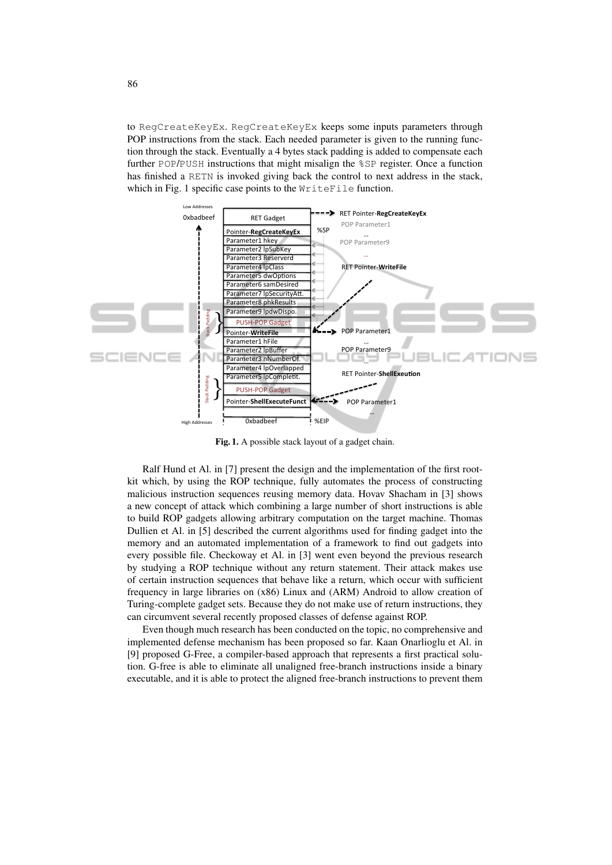to RegCreateKeyEx. RegCreateKeyEx keeps some inputs parameters through POP instructions from the stack. Each needed parameter is given to the running function through the stack. Eventually a 4 bytes stack padding is added to compensate each further POP/PUSH instructions that might misalign the %SP register. Once a function has finished a RETN is invoked giving back the control to next address in the stack, which in Fig. 1 specific case points to the WriteFile function.



Fig. 1. A possible stack layout of a gadget chain.

Ralf Hund et Al. in [7] present the design and the implementation of the first rootkit which, by using the ROP technique, fully automates the process of constructing malicious instruction sequences reusing memory data. Hovav Shacham in [3] shows a new concept of attack which combining a large number of short instructions is able to build ROP gadgets allowing arbitrary computation on the target machine. Thomas Dullien et Al. in [5] described the current algorithms used for finding gadget into the memory and an automated implementation of a framework to find out gadgets into every possible file. Checkoway et Al. in [3] went even beyond the previous research by studying a ROP technique without any return statement. Their attack makes use of certain instruction sequences that behave like a return, which occur with sufficient frequency in large libraries on (x86) Linux and (ARM) Android to allow creation of Turing-complete gadget sets. Because they do not make use of return instructions, they can circumvent several recently proposed classes of defense against ROP.

Even though much research has been conducted on the topic, no comprehensive and implemented defense mechanism has been proposed so far. Kaan Onarlioglu et Al. in [9] proposed G-Free, a compiler-based approach that represents a first practical solution. G-free is able to eliminate all unaligned free-branch instructions inside a binary executable, and it is able to protect the aligned free-branch instructions to prevent them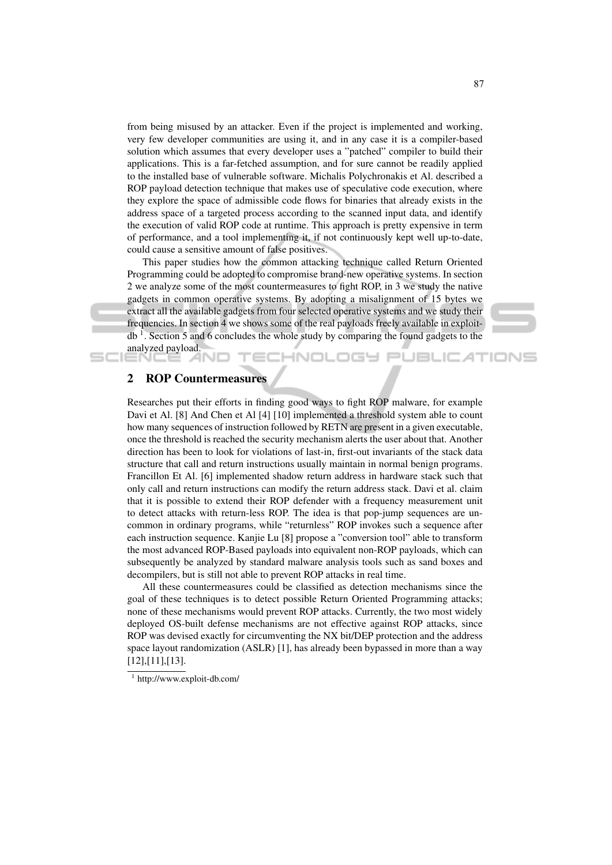from being misused by an attacker. Even if the project is implemented and working, very few developer communities are using it, and in any case it is a compiler-based solution which assumes that every developer uses a "patched" compiler to build their applications. This is a far-fetched assumption, and for sure cannot be readily applied to the installed base of vulnerable software. Michalis Polychronakis et Al. described a ROP payload detection technique that makes use of speculative code execution, where they explore the space of admissible code flows for binaries that already exists in the address space of a targeted process according to the scanned input data, and identify the execution of valid ROP code at runtime. This approach is pretty expensive in term of performance, and a tool implementing it, if not continuously kept well up-to-date, could cause a sensitive amount of false positives.

This paper studies how the common attacking technique called Return Oriented Programming could be adopted to compromise brand-new operative systems. In section 2 we analyze some of the most countermeasures to fight ROP, in 3 we study the native gadgets in common operative systems. By adopting a misalignment of 15 bytes we extract all the available gadgets from four selected operative systems and we study their frequencies. In section 4 we shows some of the real payloads freely available in exploitdb<sup>1</sup>. Section 5 and 6 concludes the whole study by comparing the found gadgets to the analyzed payload.

TECHNOLOGY PUBLICATIONS



# 2 ROP Countermeasures

Researches put their efforts in finding good ways to fight ROP malware, for example Davi et Al. [8] And Chen et Al [4] [10] implemented a threshold system able to count how many sequences of instruction followed by RETN are present in a given executable, once the threshold is reached the security mechanism alerts the user about that. Another direction has been to look for violations of last-in, first-out invariants of the stack data structure that call and return instructions usually maintain in normal benign programs. Francillon Et Al. [6] implemented shadow return address in hardware stack such that only call and return instructions can modify the return address stack. Davi et al. claim that it is possible to extend their ROP defender with a frequency measurement unit to detect attacks with return-less ROP. The idea is that pop-jump sequences are uncommon in ordinary programs, while "returnless" ROP invokes such a sequence after each instruction sequence. Kanjie Lu [8] propose a "conversion tool" able to transform the most advanced ROP-Based payloads into equivalent non-ROP payloads, which can subsequently be analyzed by standard malware analysis tools such as sand boxes and decompilers, but is still not able to prevent ROP attacks in real time.

All these countermeasures could be classified as detection mechanisms since the goal of these techniques is to detect possible Return Oriented Programming attacks; none of these mechanisms would prevent ROP attacks. Currently, the two most widely deployed OS-built defense mechanisms are not effective against ROP attacks, since ROP was devised exactly for circumventing the NX bit/DEP protection and the address space layout randomization (ASLR) [1], has already been bypassed in more than a way [12],[11],[13].

<sup>1</sup> http://www.exploit-db.com/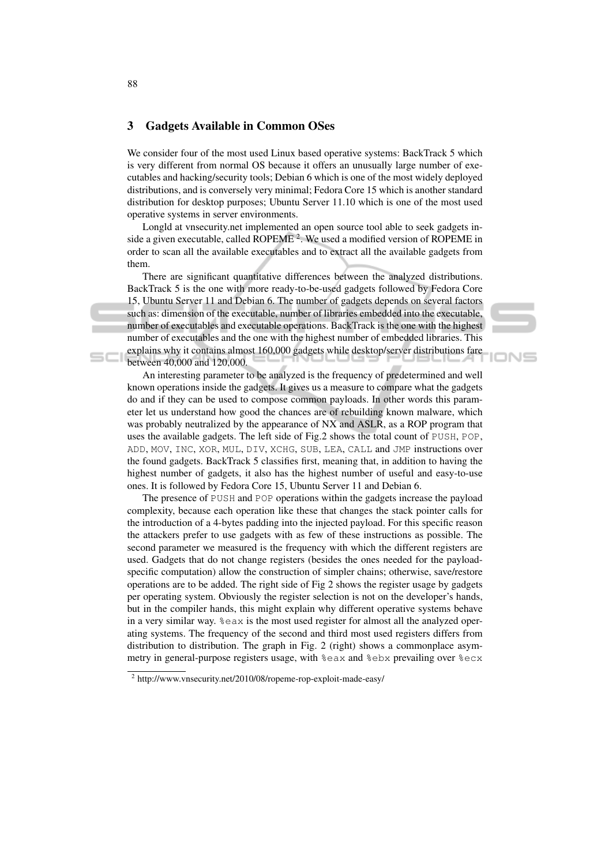### 3 Gadgets Available in Common OSes

We consider four of the most used Linux based operative systems: BackTrack 5 which is very different from normal OS because it offers an unusually large number of executables and hacking/security tools; Debian 6 which is one of the most widely deployed distributions, and is conversely very minimal; Fedora Core 15 which is another standard distribution for desktop purposes; Ubuntu Server 11.10 which is one of the most used operative systems in server environments.

Longld at vnsecurity.net implemented an open source tool able to seek gadgets inside a given executable, called ROPEME<sup>2</sup>. We used a modified version of ROPEME in order to scan all the available executables and to extract all the available gadgets from them.

There are significant quantitative differences between the analyzed distributions. BackTrack 5 is the one with more ready-to-be-used gadgets followed by Fedora Core 15, Ubuntu Server 11 and Debian 6. The number of gadgets depends on several factors such as: dimension of the executable, number of libraries embedded into the executable, number of executables and executable operations. BackTrack is the one with the highest number of executables and the one with the highest number of embedded libraries. This explains why it contains almost 160,000 gadgets while desktop/server distributions fare between 40,000 and 120,000.

⊃ו∧ו

An interesting parameter to be analyzed is the frequency of predetermined and well known operations inside the gadgets. It gives us a measure to compare what the gadgets do and if they can be used to compose common payloads. In other words this parameter let us understand how good the chances are of rebuilding known malware, which was probably neutralized by the appearance of NX and ASLR, as a ROP program that uses the available gadgets. The left side of Fig.2 shows the total count of PUSH, POP, ADD, MOV, INC, XOR, MUL, DIV, XCHG, SUB, LEA, CALL and JMP instructions over the found gadgets. BackTrack 5 classifies first, meaning that, in addition to having the highest number of gadgets, it also has the highest number of useful and easy-to-use ones. It is followed by Fedora Core 15, Ubuntu Server 11 and Debian 6.

The presence of PUSH and POP operations within the gadgets increase the payload complexity, because each operation like these that changes the stack pointer calls for the introduction of a 4-bytes padding into the injected payload. For this specific reason the attackers prefer to use gadgets with as few of these instructions as possible. The second parameter we measured is the frequency with which the different registers are used. Gadgets that do not change registers (besides the ones needed for the payloadspecific computation) allow the construction of simpler chains; otherwise, save/restore operations are to be added. The right side of Fig 2 shows the register usage by gadgets per operating system. Obviously the register selection is not on the developer's hands, but in the compiler hands, this might explain why different operative systems behave in a very similar way. %eax is the most used register for almost all the analyzed operating systems. The frequency of the second and third most used registers differs from distribution to distribution. The graph in Fig. 2 (right) shows a commonplace asymmetry in general-purpose registers usage, with %eax and %ebx prevailing over %ecx

<sup>&</sup>lt;sup>2</sup> http://www.vnsecurity.net/2010/08/ropeme-rop-exploit-made-easy/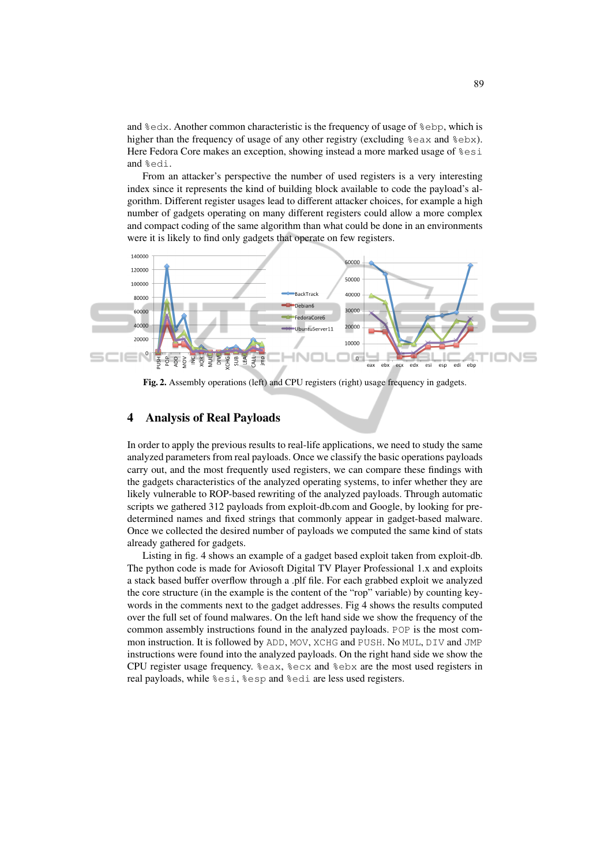and %edx. Another common characteristic is the frequency of usage of %ebp, which is higher than the frequency of usage of any other registry (excluding  $\epsilon$ eax and  $\epsilon$ ebx). Here Fedora Core makes an exception, showing instead a more marked usage of  $\epsilon$ esi and %edi.

From an attacker's perspective the number of used registers is a very interesting index since it represents the kind of building block available to code the payload's algorithm. Different register usages lead to different attacker choices, for example a high number of gadgets operating on many different registers could allow a more complex and compact coding of the same algorithm than what could be done in an environments were it is likely to find only gadgets that operate on few registers.



Fig. 2. Assembly operations (left) and CPU registers (right) usage frequency in gadgets.

## 4 Analysis of Real Payloads

In order to apply the previous results to real-life applications, we need to study the same analyzed parameters from real payloads. Once we classify the basic operations payloads carry out, and the most frequently used registers, we can compare these findings with the gadgets characteristics of the analyzed operating systems, to infer whether they are likely vulnerable to ROP-based rewriting of the analyzed payloads. Through automatic scripts we gathered 312 payloads from exploit-db.com and Google, by looking for predetermined names and fixed strings that commonly appear in gadget-based malware. Once we collected the desired number of payloads we computed the same kind of stats already gathered for gadgets.

Listing in fig. 4 shows an example of a gadget based exploit taken from exploit-db. The python code is made for Aviosoft Digital TV Player Professional 1.x and exploits a stack based buffer overflow through a .plf file. For each grabbed exploit we analyzed the core structure (in the example is the content of the "rop" variable) by counting keywords in the comments next to the gadget addresses. Fig 4 shows the results computed over the full set of found malwares. On the left hand side we show the frequency of the common assembly instructions found in the analyzed payloads. POP is the most common instruction. It is followed by ADD, MOV, XCHG and PUSH. No MUL, DIV and JMP instructions were found into the analyzed payloads. On the right hand side we show the CPU register usage frequency. %eax, %ecx and %ebx are the most used registers in real payloads, while %esi, %esp and %edi are less used registers.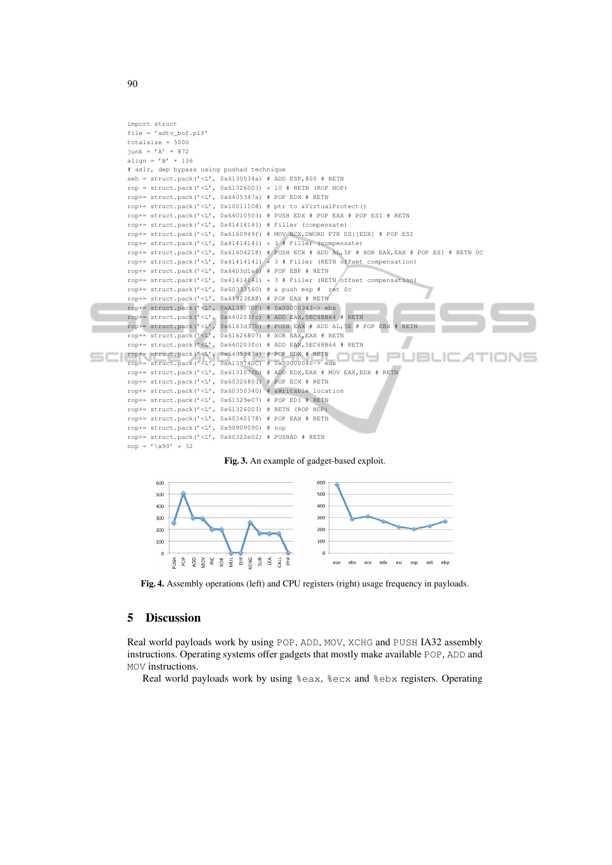```
import struct
file = ' adtv bof.plf'
totalsize = 5000
junk = 'A' * 872
align = ' B' \times 136# aslr, dep bypass using pushad technique
seh = struct.pack(\sqrt{\mu}, 0x6130534a) # ADD ESP,800 # RETN
rop = struct.pack('<L', 0x61326003) * 10 # RETN (ROP NOP)
rop+= struct.pack('<L', 0x6405347a) # POP EDX # RETN
rop+= struct.pack('<L', 0x10011108) # ptr to &VirtualProtect()
\text{rop}+=\text{struct.pack} ('<L', 0x64010503) # PUSH EDX # POP EAX # POP ESI # RETN
rop+= struct.pack('<L', 0x41414141) # Filler (compensate)
rop+= struct.pack('<L', 0x6160949f) # MOV ECX,DWORD PTR DS:[EDX] # POP ESI
rop+= struct.pack('<L', 0x41414141) * 3 # Filler (compensate)
rop+= struct.pack('<L', 0x61604218) # PUSH ECX # ADD AL,5F # XOR EAX,EAX # POP ESI # RETN 0C
rop+= struct.pack('<L', 0x41414141) * 3 # Filler (RETN offset compensation)
rop+= struct.pack('<L', 0x6403d1a6) # POP EBP # RETN
rop+= struct.pack('\langle L', 0x41414141) * 3 # Filler (RETN offset compensation)
rop+= struct.pack('<L', 0x60333560) # & push esp # ret 0c
rop+= struct.pack('<L', 0x61323EA8) # POP EAX # RETN
rop+= struct.pack('<L', 0xA13977DF) # 0x00000343-> ebx
rop+= struct.pack('<L', 0x640203fc) # ADD EAX,5EC68B64 # RETN
rop+= struct.pack('<L', 0x6163d37b) # PUSH EAX # ADD AL, 5E # POP EBX # RETN
rop+= struct.pack('<L', 0x61626807) # XOR EAX,EAX # RETN
rop+= struct.pack('<L', 0x640203fc) # ADD EAX,5EC68B64 # RETN
rop+= struct.pack('<L', 0x6405347a) # POP EDX # RETN
                                                                    F
                                                                           JBLIC
                                                                                         ATIONS
rop+= struct.pack('<L', 0xA13974DC) # 0x00000040-> edx
rop+= struct.pack('<L', 0x613107fb) # ADD EDX, EAX # MOV EAX, EDX # RETN
rop+= struct.pack(\prime <L', 0x60326803) # POP ECX # RETN
rop+= struct.pack('<L', 0x60350340) # &Writable location
rop+= struct.pack('<L', 0x61329e07) # POP EDI # RETN
rop+= struct.pack('<L', 0x61326003) # RETN (ROP NOP)
rop+= struct.pack('<L', 0x60340178) # POP EAX # RETN
rop+= struct.pack('<L', 0x90909090) # nop
rop+= struct.pack('<L', 0x60322e02) # PUSHAD # RETN
nop = '(x90' + 32)
```
#### Fig. 3. An example of gadget-based exploit.



Fig. 4. Assembly operations (left) and CPU registers (right) usage frequency in payloads.

## 5 Discussion

Real world payloads work by using POP, ADD, MOV, XCHG and PUSH IA32 assembly instructions. Operating systems offer gadgets that mostly make available POP, ADD and MOV instructions.

Real world payloads work by using %eax, %ecx and %ebx registers. Operating

90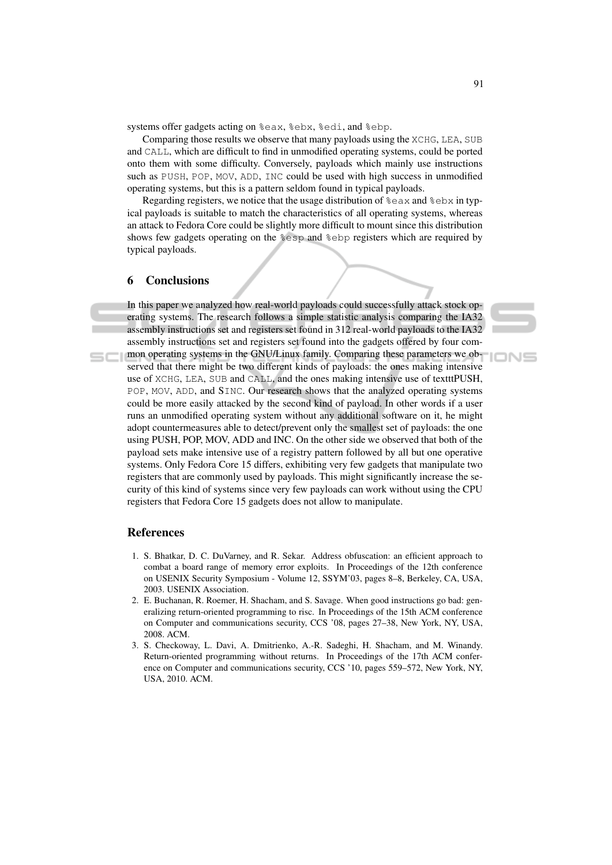systems offer gadgets acting on %eax, %ebx, %edi, and %ebp.

Comparing those results we observe that many payloads using the XCHG, LEA, SUB and CALL, which are difficult to find in unmodified operating systems, could be ported onto them with some difficulty. Conversely, payloads which mainly use instructions such as PUSH, POP, MOV, ADD, INC could be used with high success in unmodified operating systems, but this is a pattern seldom found in typical payloads.

Regarding registers, we notice that the usage distribution of  $\epsilon$ eax and  $\epsilon$ ebx in typical payloads is suitable to match the characteristics of all operating systems, whereas an attack to Fedora Core could be slightly more difficult to mount since this distribution shows few gadgets operating on the %esp and %ebp registers which are required by typical payloads.

#### 6 Conclusions

In this paper we analyzed how real-world payloads could successfully attack stock operating systems. The research follows a simple statistic analysis comparing the IA32 assembly instructions set and registers set found in 312 real-world payloads to the IA32 assembly instructions set and registers set found into the gadgets offered by four common operating systems in the GNU/Linux family. Comparing these parameters we observed that there might be two different kinds of payloads: the ones making intensive use of XCHG, LEA, SUB and CALL, and the ones making intensive use of textttPUSH, POP, MOV, ADD, and SINC. Our research shows that the analyzed operating systems could be more easily attacked by the second kind of payload. In other words if a user runs an unmodified operating system without any additional software on it, he might adopt countermeasures able to detect/prevent only the smallest set of payloads: the one using PUSH, POP, MOV, ADD and INC. On the other side we observed that both of the payload sets make intensive use of a registry pattern followed by all but one operative systems. Only Fedora Core 15 differs, exhibiting very few gadgets that manipulate two registers that are commonly used by payloads. This might significantly increase the security of this kind of systems since very few payloads can work without using the CPU registers that Fedora Core 15 gadgets does not allow to manipulate.

#### References

- 1. S. Bhatkar, D. C. DuVarney, and R. Sekar. Address obfuscation: an efficient approach to combat a board range of memory error exploits. In Proceedings of the 12th conference on USENIX Security Symposium - Volume 12, SSYM'03, pages 8–8, Berkeley, CA, USA, 2003. USENIX Association.
- 2. E. Buchanan, R. Roemer, H. Shacham, and S. Savage. When good instructions go bad: generalizing return-oriented programming to risc. In Proceedings of the 15th ACM conference on Computer and communications security, CCS '08, pages 27–38, New York, NY, USA, 2008. ACM.
- 3. S. Checkoway, L. Davi, A. Dmitrienko, A.-R. Sadeghi, H. Shacham, and M. Winandy. Return-oriented programming without returns. In Proceedings of the 17th ACM conference on Computer and communications security, CCS '10, pages 559–572, New York, NY, USA, 2010. ACM.

IONS